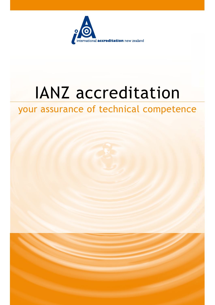

# IANZ accreditation

# your assurance of technical competence

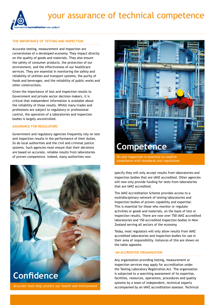



#### **THE IMPORTANCE OF TESTING AND INSPECTION**

Accurate testing, measurement and inspection are cornerstones of a developed economy. They impact directly on the quality of goods and materials. They also ensure the safety of consumer products, the protection of our environment, and the effectiveness of our healthcare services. They are essential in monitoring the safety and reliability of utilities and transport systems, the purity of foods and beverages, and the reliability of public works and other constructions.

Given the importance of test and inspection results to Government and private sector decision makers, it is critical that independent information is available about the reliability of those results. Whilst many trades and professions are subject to regulatory or professional control, the operation of a laboratories and inspection bodies is largely uncontrolled.

#### **ASSURANCE FOR REGULATORS**

Government and regulatory agencies frequently rely on test and inspection results in the performance of their duties. So do local authorities and the civil and criminal justice systems. Such agencies must ensure that their decisions are based on accurate, reliable results from laboratories of proven competence. Indeed, many authorities now





*On-site inspection is essential to confirm compliance with standards and regulations*

specify they will only accept results from laboratories and inspection bodies that are IANZ accredited. Other agencies will now only provide funding for tests from laboratories that are IANZ accredited.

The IANZ Accreditation Scheme provides access to a multidisciplinary network of testing laboratories and inspection bodies of proven capability and expertise. This is essential for those who monitor or regulate activities or goods and materials, on the basis of test or inspection results. There are now over 750 IANZ accredited laboratories and 150 accredited inspection bodies in New Zealand serving all sectors of the economy.

Today, most regulators will only allow results from IANZ accredited laboratories and inspection bodies for use in their area of responsibility. Instances of this are shown on the table opposite.

#### **AN ACCREDITED ORGANISATION**

Any organisation providing testing, measurement or inspection services may apply for accreditation under the Testing Laboratory Registration Act. The organisation is subjected to a searching assessment of its expertise, facilities, resources, operations, procedures and quality systems by a team of independent, technical experts accompanied by an IANZ accreditation assessor. Technical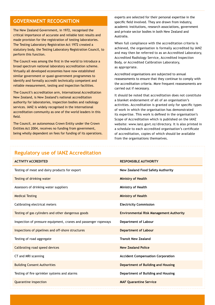## **GOVERNMENT RECOGNITION**

The New Zealand Government, in 1972, recognised the critical importance of accurate and reliable test results and made provision for the registration of testing laboratories. The Testing Laboratory Registration Act 1972 created a statutory body, the Testing Laboratory Registration Council, to perform this function.

The Council was among the first in the world to introduce a broad spectrum national laboratory accreditation scheme. Virtually all developed economies have now established similar government or quasi-government programmes to identify and formally accredit technically competent and reliable measurement, testing and inspection facilities.

The Council's accreditation arm, International Accreditation New Zealand, is New Zealand's national accreditation authority for laboratories, inspection bodies and radiology services. IANZ is widely recognised in the international accreditation community as one of the world leaders in this field.

The Council, an autonomous Crown Entity under the Crown Entities Act 2004, receives no funding from government, being wholly dependent on fees for funding of its operations. experts are selected for their personal expertise in the specific field involved. They are drawn from industry, academic institutions, research associations, government and private sector bodies in both New Zealand and Australia.

When full compliance with the accreditation criteria is achieved, the organisation is formally accredited by IANZ and may then be referred to as an Accredited Laboratory, Accredited Radiology Service, Accredited Inspection Body, or Accredited Calibration Laboratory, as appropriate.

Accredited organisations are subjected to annual reassessments to ensure that they continue to comply with the accreditation criteria. More frequent reassessments are carried out if necessary.

It should be noted that accreditation does not constitute a blanket endorsement of all of an organisation's activities. Accreditation is granted only for specific types of work in which the organisation has demonstrated its expertise. This work is defined in the organisation's Scope of Accreditation which is published on the IANZ website: www.ianz.govt.nz/directory. It is also printed in a schedule to each accredited organisation's certificate of accreditation, copies of which should be available from the organisations themselves.

## **Regulatory use of IANZ Accreditation**

| <b>ACTIVITY ACCREDITED</b>                                      | <b>RESPONSIBLE AUTHORITY</b>                   |
|-----------------------------------------------------------------|------------------------------------------------|
| Testing of meat and dairy products for export                   | New Zealand Food Safety Authority              |
| Testing of drinking water                                       | <b>Ministry of Health</b>                      |
| Assessors of drinking water suppliers                           | Ministry of Health                             |
| <b>Medical Testing</b>                                          | <b>Ministry of Health</b>                      |
| Calibrating electrical meters                                   | <b>Electricity Commission</b>                  |
| Testing of gas cylinders and other dangerous goods              | <b>Environmental Risk Management Authority</b> |
| Inspection of pressure equipment, cranes and passenger ropeways | <b>Department of Labour</b>                    |
| Inspections of pipelines and off-shore structures               | <b>Department of Labour</b>                    |
| Testing of road aggregate                                       | <b>Transit New Zealand</b>                     |
| Calibrating road speed devices                                  | <b>New Zealand Police</b>                      |
| CT and MRI scanning                                             | <b>Accident Compensation Corporation</b>       |
| <b>Building Consent Authorities</b>                             | Department of Building and Housing             |
| Testing of fire sprinkler systems and alarms                    | Department of Building and Housing             |
| Quarantine inspection                                           | <b>MAF Quarantine Service</b>                  |
|                                                                 |                                                |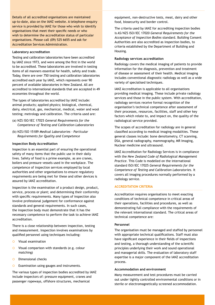Details of all accredited organisations are maintained up-to-date, also on the IANZ website. A telephone enquiry service is provided by IANZ for those who wish to identify organisations that meet their specific needs or who wish to determine the accreditation status of particular organisations. Please call (09) 525 6655 and ask for Accreditation Services Administration.

#### **Laboratory accreditation**

Testing and calibration laboratories have been accredited by IANZ since 1973, and were among the first in the world to be accredited. These laboratories are involved in testing items of all manners essential for health, safety and trade. Today, there are over 750 testing and calibration laboratories accredited each year by IANZ, which represents over 90 percent of available laboratories in New Zealand. All are accredited to international standards that are accepted in 49 economies throughout the world.

The types of laboratories accredited by IANZ include: animal products; applied physics; biological, chemical, dairy, electrical, gas, mechanical, medical, water and wool testing; metrology and calibration. The criteria used are:

- (a) NZS ISO/IEC 17025 *General Requirements for the Competence of Testing and Calibration Laboratories*
- (b) NZS/ISO 15189 *Medical Laboratories Particular Requirements for Quality and Competence*

#### **Inspection Body Accreditation**

Inspection is an essential part of ensuring the operational safety of many items that the public use in their daily lives. Safety of food is a prime example, as are cranes, boilers and pressure vessels used in the workplace. The competence of inspection services employed by local authorities and other organisations to ensure regulatory requirements are being met for these and other devices is assured by IANZ accreditation.

Inspection is the examination of a product design, product, service, process or plant; and determining their conformity with specific requirements. Many types of inspection also involve professional judgement for conformance against standards and general requirements. In such cases, the inspection body must demonstrate that it has the necessary competence to perform the task to achieve IANZ accreditation.

There is a close relationship between inspection, testing and measurement. Inspection involves examinations by qualified personnel using techniques including:

- ° Visual examination
- $\circ$  Visual comparison with standards (e.g. colour matching)
- ° Dimensional checks
- $\circ$  Examination using gauges and instruments.

The various types of inspection bodies accredited by IANZ include inspectors of: pressure equipment, cranes and passenger ropeways, offshore structures, mechanical

equipment, non-destructive tests, meat, dairy and other food, biosecurity and border control.

The criteria used by IANZ for accrediting inspection bodies is AS/NZS ISO/IEC 17020 *General Requirements for the Acceptance of Inspection Bodies* standard. Building Consent Authorities are also accredited as inspection bodies, to criteria established by the Department of Building and Housing.

#### **Radiology services accreditation**

Radiology covers the medical imaging of patients to provide information for the diagnosis, prevention and treatment of disease or assessment of their health. Medical imaging includes conventional diagnostic radiology as well as a wide variety of specialised techniques.

IANZ Accreditation is applicable to all organisations providing medical imaging. These include private radiology services and those in the public system. With accreditation, radiology services receive formal recognition of the organisation's technical competence after assessment of their processes, resources, facilities, staff and other key factors which relate to, and impact on, the quality of the radiological service provided.

The scopes of accreditation for radiology are in general classified according to medical imaging modalities. These general classes include: bone densitometry, CT scanning, DSA, general radiography, mammography, MR Imaging, Nuclear medicine and ultrasound.

IANZ Accreditation for Radiology Services is in compliance with the *New Zealand Code of Radiological Management Practice*. This Code is modelled on the international standard ISO/IEC 17025 *General Requirements for the Competence of Testing and Calibration Laboratories*. It covers all imaging procedures normally performed by a radiology service.

#### **ACCREDITATION CRITERIA**

Accreditation requires organisations to meet exacting conditions of technical competence in critical areas of their operations, facilities and procedures, as well as demonstrating full compliance with the requirements of the relevant international standard. The critical areas of technical competence are:

#### **Personnel**

The organisation must be managed and staffed by personnel with appropriate technical qualifications. Staff must also have significant experience in their fields of inspections and testing, a thorough understanding of the scientific principles underlying their work and sound operational and managerial skills. The evaluation of laboratory staff expertise is a major component of the IANZ accreditation process.

#### **Accommodation and environment**

Many measurement and test procedures must be carried out under tightly controlled environmental conditions or in sterile or electromagnetically screened accommodation.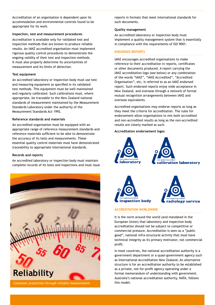Accreditation of an organisation is dependent upon its accommodation and environmental controls found to be appropriate for its work.

#### **Inspection, test and measurement procedures**

Accreditation is available only for validated test and inspection methods that are known to produce reliable results. An IANZ accredited organisation must implement rigorous quality control procedures to demonstrate the ongoing validity of their test and inspection methods. It must also properly determine its uncertainties of measurement and its limits of detection.

#### **Test equipment**

An accredited laboratory or inspection body must use test and measuring equipment as specified in its validated test methods. This equipment must be well maintained and regularly calibrated. Such calibrations must, where appropriate, be traceable to the New Zealand national standards of measurement maintained by the Measurement Standards Laboratory under the authority of the Measurement Standards Act 1992.

#### **Reference standards and materials**

An accredited organisation must be equipped with an appropriate range of reference measurement standards and reference materials sufficient to be able to demonstrate the accuracy of its tests and measurements. These essential quality control materials must have demonstrated traceability to appropriate international standards.

#### **Records and reports**

An accredited laboratory or inspection body must maintain complete records of its tests and inspections and must issue



*Consumer protection through reliable measurement*

reports in formats that meet international standards for such documents.

#### **Quality management**

An accredited laboratory or inspection body must implement a quality management system that is essentially in compliance with the requirements of ISO 9001.

#### **ENDORSED REPORTS**

IANZ encourages accredited organisations to make reference to their accreditation in reports, certificates or other documents produced. A report carrying the IANZ accreditation logo (see below) or any combination of the words "IANZ", "IANZ Accredited", "Accredited Organisation", etc, is referred to as an IANZ endorsed report. Such endorsed reports enjoy wide acceptance in New Zealand, and overseas through a network of formal mutual recognition arrangements between IANZ and overseas equivalents.

Accredited organisations may endorse reports as long as they meet the criteria for accreditation. The rules for endorsement allow organisations to mix both accredited and non-accredited results as long as the non-accredited results are clearly marked as such.

#### **Accreditation endorsement logos**







#### **ACCREDITATION WORLDWIDE**

It is the norm around the world (and mandated in the European Union) that laboratory and inspection body accreditation should not be subject to competitive or commercial pressure. Accreditation is seen as a "public good", national infra-structural activity that must have technical integrity as its primary motivator; not commercial profit.

In most countries, the national accreditation authority is a government department or a quasi-government agency such as International Accreditation New Zealand. An alternative structure is for an accreditation authority to be established as a private, not-for-profit agency operating under a formal memorandum of understanding with government. Australia's national accreditation authority, NATA, follows this model.